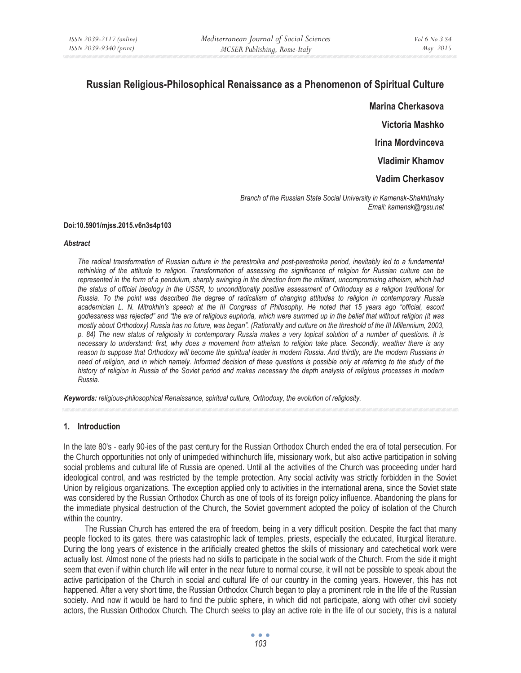# **Russian Religious-Philosophical Renaissance as a Phenomenon of Spiritual Culture**

**Victoria Mashko** 

**Marina Cherkasova** 

**Irina Mordvinceva** 

**Vladimir Khamov** 

**Vadim Cherkasov** 

*Branch of the Russian State Social University in Kamensk-Shakhtinsky Email: kamensk@rgsu.net* 

#### **Doi:10.5901/mjss.2015.v6n3s4p103**

#### *Abstract*

*The radical transformation of Russian culture in the perestroika and post-perestroika period, inevitably led to a fundamental rethinking of the attitude to religion. Transformation of assessing the significance of religion for Russian culture can be represented in the form of a pendulum, sharply swinging in the direction from the militant, uncompromising atheism, which had the status of official ideology in the USSR, to unconditionally positive assessment of Orthodoxy as a religion traditional for Russia. To the point was described the degree of radicalism of changing attitudes to religion in contemporary Russia academician L. N. Mitrokhin's speech at the III Congress of Philosophy. He noted that 15 years ago "official, escort godlessness was rejected" and "the era of religious euphoria, which were summed up in the belief that without religion (it was mostly about Orthodoxy) Russia has no future, was began". (Rationality and culture on the threshold of the III Millennium, 2003, p. 84) The new status of religiosity in contemporary Russia makes a very topical solution of a number of questions. It is necessary to understand: first, why does a movement from atheism to religion take place. Secondly, weather there is any reason to suppose that Orthodoxy will become the spiritual leader in modern Russia. And thirdly, are the modern Russians in need of religion, and in which namely. Informed decision of these questions is possible only at referring to the study of the history of religion in Russia of the Soviet period and makes necessary the depth analysis of religious processes in modern Russia.* 

*Keywords: religious-philosophical Renaissance, spiritual culture, Orthodoxy, the evolution of religiosity.*

#### **1. Introduction**

In the late 80's - early 90-ies of the past century for the Russian Orthodox Church ended the era of total persecution. For the Church opportunities not only of unimpeded withinchurch life, missionary work, but also active participation in solving social problems and cultural life of Russia are opened. Until all the activities of the Church was proceeding under hard ideological control, and was restricted by the temple protection. Any social activity was strictly forbidden in the Soviet Union by religious organizations. The exception applied only to activities in the international arena, since the Soviet state was considered by the Russian Orthodox Church as one of tools of its foreign policy influence. Abandoning the plans for the immediate physical destruction of the Church, the Soviet government adopted the policy of isolation of the Church within the country.

The Russian Church has entered the era of freedom, being in a very difficult position. Despite the fact that many people flocked to its gates, there was catastrophic lack of temples, priests, especially the educated, liturgical literature. During the long years of existence in the artificially created ghettos the skills of missionary and catechetical work were actually lost. Almost none of the priests had no skills to participate in the social work of the Church. From the side it might seem that even if within church life will enter in the near future to normal course, it will not be possible to speak about the active participation of the Church in social and cultural life of our country in the coming years. However, this has not happened. After a very short time, the Russian Orthodox Church began to play a prominent role in the life of the Russian society. And now it would be hard to find the public sphere, in which did not participate, along with other civil society actors, the Russian Orthodox Church. The Church seeks to play an active role in the life of our society, this is a natural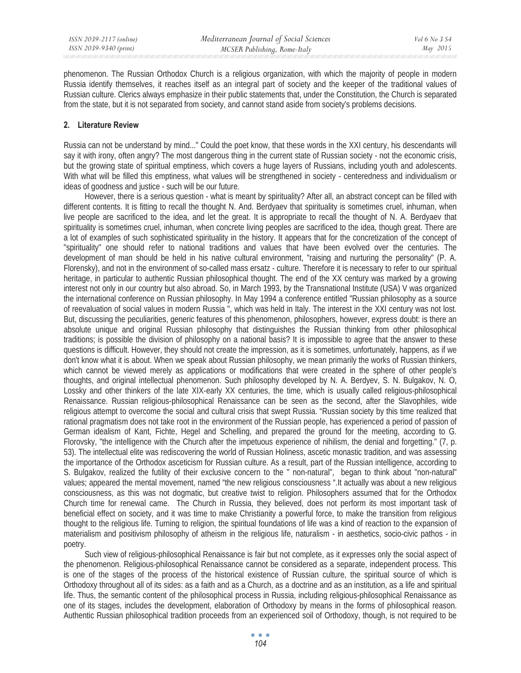phenomenon. The Russian Orthodox Church is a religious organization, with which the majority of people in modern Russia identify themselves, it reaches itself as an integral part of society and the keeper of the traditional values of Russian culture. Clerics always emphasize in their public statements that, under the Constitution, the Church is separated from the state, but it is not separated from society, and cannot stand aside from society's problems decisions.

## **2. Literature Review**

Russia can not be understand by mind..." Could the poet know, that these words in the XXI century, his descendants will say it with irony, often angry? The most dangerous thing in the current state of Russian society - not the economic crisis, but the growing state of spiritual emptiness, which covers a huge layers of Russians, including youth and adolescents. With what will be filled this emptiness, what values will be strengthened in society - centeredness and individualism or ideas of goodness and justice - such will be our future.

However, there is a serious question - what is meant by spirituality? After all, an abstract concept can be filled with different contents. It is fitting to recall the thought N. And. Berdyaev that spirituality is sometimes cruel, inhuman, when live people are sacrificed to the idea, and let the great. It is appropriate to recall the thought of N. A. Berdyaev that spirituality is sometimes cruel, inhuman, when concrete living peoples are sacrificed to the idea, though great. There are a lot of examples of such sophisticated spirituality in the history. It appears that for the concretization of the concept of "spirituality" one should refer to national traditions and values that have been evolved over the centuries. The development of man should be held in his native cultural environment, "raising and nurturing the personality" (P. A. Florensky), and not in the environment of so-called mass ersatz - culture. Therefore it is necessary to refer to our spiritual heritage, in particular to authentic Russian philosophical thought. The end of the XX century was marked by a growing interest not only in our country but also abroad. So, in March 1993, by the Transnational Institute (USA) V was organized the international conference on Russian philosophy. In May 1994 a conference entitled "Russian philosophy as a source of reevaluation of social values in modern Russia ", which was held in Italy. The interest in the XXI century was not lost. But, discussing the peculiarities, generic features of this phenomenon, philosophers, however, express doubt: is there an absolute unique and original Russian philosophy that distinguishes the Russian thinking from other philosophical traditions; is possible the division of philosophy on a national basis? It is impossible to agree that the answer to these questions is difficult. However, they should not create the impression, as it is sometimes, unfortunately, happens, as if we don't know what it is about. When we speak about Russian philosophy, we mean primarily the works of Russian thinkers, which cannot be viewed merely as applications or modifications that were created in the sphere of other people's thoughts, and original intellectual phenomenon. Such philosophy developed by N. A. Berdyev, S. N. Bulgakov, N. O, Lossky and other thinkers of the late XIX-early XX centuries, the time, which is usually called religious-philosophical Renaissance. Russian religious-philosophical Renaissance can be seen as the second, after the Slavophiles, wide religious attempt to overcome the social and cultural crisis that swept Russia. "Russian society by this time realized that rational pragmatism does not take root in the environment of the Russian people, has experienced a period of passion of German idealism of Kant, Fichte, Hegel and Schelling, and prepared the ground for the meeting, according to G. Florovsky, "the intelligence with the Church after the impetuous experience of nihilism, the denial and forgetting." (7, p. 53). The intellectual elite was rediscovering the world of Russian Holiness, ascetic monastic tradition, and was assessing the importance of the Orthodox asceticism for Russian culture. As a result, part of the Russian intelligence, according to S. Bulgakov, realized the futility of their exclusive concern to the " non-natural", began to think about "non-natural" values; appeared the mental movement, named "the new religious consciousness ".It actually was about a new religious consciousness, as this was not dogmatic, but creative twist to religion. Philosophers assumed that for the Orthodox Church time for renewal came. The Church in Russia, they believed, does not perform its most important task of beneficial effect on society, and it was time to make Christianity a powerful force, to make the transition from religious thought to the religious life. Turning to religion, the spiritual foundations of life was a kind of reaction to the expansion of materialism and positivism philosophy of atheism in the religious life, naturalism - in aesthetics, socio-civic pathos - in poetry.

Such view of religious-philosophical Renaissance is fair but not complete, as it expresses only the social aspect of the phenomenon. Religious-philosophical Renaissance cannot be considered as a separate, independent process. This is one of the stages of the process of the historical existence of Russian culture, the spiritual source of which is Orthodoxy throughout all of its sides: as a faith and as a Church, as a doctrine and as an institution, as a life and spiritual life. Thus, the semantic content of the philosophical process in Russia, including religious-philosophical Renaissance as one of its stages, includes the development, elaboration of Orthodoxy by means in the forms of philosophical reason. Authentic Russian philosophical tradition proceeds from an experienced soil of Orthodoxy, though, is not required to be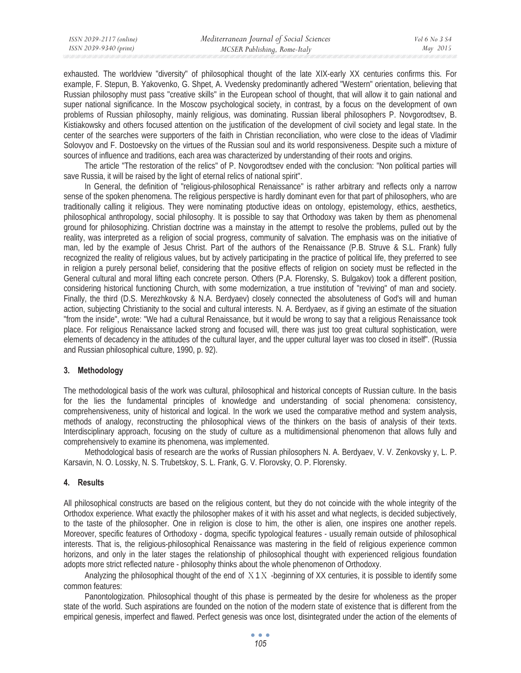| ISSN 2039-2117 (online) | Mediterranean Journal of Social Sciences | Vol 6 No 3 S4 |
|-------------------------|------------------------------------------|---------------|
| ISSN 2039-9340 (print)  | MCSER Publishing, Rome-Italy             | May 2015      |
|                         |                                          |               |

exhausted. The worldview "diversity" of philosophical thought of the late XIX-early XX centuries confirms this. For example, F. Stepun, B. Yakovenko, G. Shpet, A. Vvedensky predominantly adhered "Western" orientation, believing that Russian philosophy must pass "creative skills" in the European school of thought, that will allow it to gain national and super national significance. In the Moscow psychological society, in contrast, by a focus on the development of own problems of Russian philosophy, mainly religious, was dominating. Russian liberal philosophers P. Novgorodtsev, B. Kistiakowsky and others focused attention on the justification of the development of civil society and legal state. In the center of the searches were supporters of the faith in Christian reconciliation, who were close to the ideas of Vladimir Solovyov and F. Dostoevsky on the virtues of the Russian soul and its world responsiveness. Despite such a mixture of sources of influence and traditions, each area was characterized by understanding of their roots and origins.

The article "The restoration of the relics" of P. Novgorodtsev ended with the conclusion: "Non political parties will save Russia, it will be raised by the light of eternal relics of national spirit".

In General, the definition of "religious-philosophical Renaissance" is rather arbitrary and reflects only a narrow sense of the spoken phenomena. The religious perspective is hardly dominant even for that part of philosophers, who are traditionally calling it religious. They were nominating ptoductive ideas on ontology, epistemology, ethics, aesthetics, philosophical anthropology, social philosophy. It is possible to say that Orthodoxy was taken by them as phenomenal ground for philosophizing. Christian doctrine was a mainstay in the attempt to resolve the problems, pulled out by the reality, was interpreted as a religion of social progress, community of salvation. The emphasis was on the initiative of man, led by the example of Jesus Christ. Part of the authors of the Renaissance (P.B. Struve & S.L. Frank) fully recognized the reality of religious values, but by actively participating in the practice of political life, they preferred to see in religion a purely personal belief, considering that the positive effects of religion on society must be reflected in the General cultural and moral lifting each concrete person. Others (P.A. Florensky, S. Bulgakov) took a different position, considering historical functioning Church, with some modernization, a true institution of "reviving" of man and society. Finally, the third (D.S. Merezhkovsky & N.A. Berdyaev) closely connected the absoluteness of God's will and human action, subjecting Christianity to the social and cultural interests. N. A. Berdyaev, as if giving an estimate of the situation "from the inside", wrote: "We had a cultural Renaissance, but it would be wrong to say that a religious Renaissance took place. For religious Renaissance lacked strong and focused will, there was just too great cultural sophistication, were elements of decadency in the attitudes of the cultural layer, and the upper cultural layer was too closed in itself". (Russia and Russian philosophical culture, 1990, p. 92).

### **3. Methodology**

The methodological basis of the work was cultural, philosophical and historical concepts of Russian culture. In the basis for the lies the fundamental principles of knowledge and understanding of social phenomena: consistency, comprehensiveness, unity of historical and logical. In the work we used the comparative method and system analysis, methods of analogy, reconstructing the philosophical views of the thinkers on the basis of analysis of their texts. Interdisciplinary approach, focusing on the study of culture as a multidimensional phenomenon that allows fully and comprehensively to examine its phenomena, was implemented.

Methodological basis of research are the works of Russian philosophers N. A. Berdyaev, V. V. Zenkovsky y, L. P. Karsavin, N. O. Lossky, N. S. Trubetskoy, S. L. Frank, G. V. Florovsky, O. P. Florensky.

### **4. Results**

All philosophical constructs are based on the religious content, but they do not coincide with the whole integrity of the Orthodox experience. What exactly the philosopher makes of it with his asset and what neglects, is decided subjectively, to the taste of the philosopher. One in religion is close to him, the other is alien, one inspires one another repels. Moreover, specific features of Orthodoxy - dogma, specific typological features - usually remain outside of philosophical interests. That is, the religious-philosophical Renaissance was mastering in the field of religious experience common horizons, and only in the later stages the relationship of philosophical thought with experienced religious foundation adopts more strict reflected nature - philosophy thinks about the whole phenomenon of Orthodoxy.

Analyzing the philosophical thought of the end of  $X1X$  -beginning of XX centuries, it is possible to identify some common features:

Panontologization. Philosophical thought of this phase is permeated by the desire for wholeness as the proper state of the world. Such aspirations are founded on the notion of the modern state of existence that is different from the empirical genesis, imperfect and flawed. Perfect genesis was once lost, disintegrated under the action of the elements of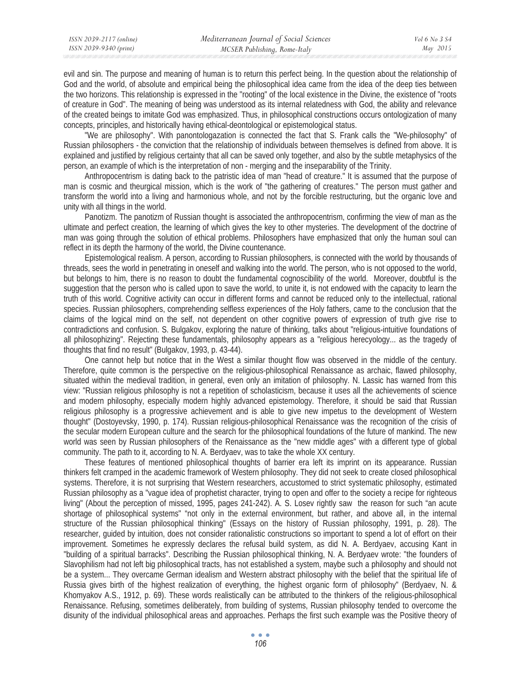| ISSN 2039-2117 (online) | Mediterranean Journal of Social Sciences | Vol 6 No 3 S4 |
|-------------------------|------------------------------------------|---------------|
| ISSN 2039-9340 (print)  | MCSER Publishing, Rome-Italy             | May 2015      |
|                         |                                          |               |

evil and sin. The purpose and meaning of human is to return this perfect being. In the question about the relationship of God and the world, of absolute and empirical being the philosophical idea came from the idea of the deep ties between the two horizons. This relationship is expressed in the "rooting" of the local existence in the Divine, the existence of "roots of creature in God". The meaning of being was understood as its internal relatedness with God, the ability and relevance of the created beings to imitate God was emphasized. Thus, in philosophical constructions occurs ontologization of many concepts, principles, and historically having ethical-deontological or epistemological status.

"We are philosophy". With panontologazation is connected the fact that S. Frank calls the "We-philosophy" of Russian philosophers - the conviction that the relationship of individuals between themselves is defined from above. It is explained and justified by religious certainty that all can be saved only together, and also by the subtle metaphysics of the person, an example of which is the interpretation of non - merging and the inseparability of the Trinity.

Anthropocentrism is dating back to the patristic idea of man "head of creature." It is assumed that the purpose of man is cosmic and theurgical mission, which is the work of "the gathering of creatures." The person must gather and transform the world into a living and harmonious whole, and not by the forcible restructuring, but the organic love and unity with all things in the world.

Panotizm. The panotizm of Russian thought is associated the anthropocentrism, confirming the view of man as the ultimate and perfect creation, the learning of which gives the key to other mysteries. The development of the doctrine of man was going through the solution of ethical problems. Philosophers have emphasized that only the human soul can reflect in its depth the harmony of the world, the Divine countenance.

Epistemological realism. A person, according to Russian philosophers, is connected with the world by thousands of threads, sees the world in penetrating in oneself and walking into the world. The person, who is not opposed to the world, but belongs to him, there is no reason to doubt the fundamental cognoscibility of the world. Moreover, doubtful is the suggestion that the person who is called upon to save the world, to unite it, is not endowed with the capacity to learn the truth of this world. Cognitive activity can occur in different forms and cannot be reduced only to the intellectual, rational species. Russian philosophers, comprehending selfless experiences of the Holy fathers, came to the conclusion that the claims of the logical mind on the self, not dependent on other cognitive powers of expression of truth give rise to contradictions and confusion. S. Bulgakov, exploring the nature of thinking, talks about "religious-intuitive foundations of all philosophizing". Rejecting these fundamentals, philosophy appears as a "religious herecyology... as the tragedy of thoughts that find no result" (Bulgakov, 1993, p. 43-44).

One cannot help but notice that in the West a similar thought flow was observed in the middle of the century. Therefore, quite common is the perspective on the religious-philosophical Renaissance as archaic, flawed philosophy, situated within the medieval tradition, in general, even only an imitation of philosophy. N. Lassic has warned from this view: "Russian religious philosophy is not a repetition of scholasticism, because it uses all the achievements of science and modern philosophy, especially modern highly advanced epistemology. Therefore, it should be said that Russian religious philosophy is a progressive achievement and is able to give new impetus to the development of Western thought" (Dostoyevsky, 1990, p. 174). Russian religious-philosophical Renaissance was the recognition of the crisis of the secular modern European culture and the search for the philosophical foundations of the future of mankind. The new world was seen by Russian philosophers of the Renaissance as the "new middle ages" with a different type of global community. The path to it, according to N. A. Berdyaev, was to take the whole XX century.

These features of mentioned philosophical thoughts of barrier era left its imprint on its appearance. Russian thinkers felt cramped in the academic framework of Western philosophy. They did not seek to create closed philosophical systems. Therefore, it is not surprising that Western researchers, accustomed to strict systematic philosophy, estimated Russian philosophy as a "vague idea of prophetist character, trying to open and offer to the society a recipe for righteous living" (About the perception of missed, 1995, pages 241-242). A. S. Losev rightly saw the reason for such "an acute shortage of philosophical systems" "not only in the external environment, but rather, and above all, in the internal structure of the Russian philosophical thinking" (Essays on the history of Russian philosophy, 1991, p. 28). The researcher, guided by intuition, does not consider rationalistic constructions so important to spend a lot of effort on their improvement. Sometimes he expressly declares the refusal build system, as did N. A. Berdyaev, accusing Kant in "building of a spiritual barracks". Describing the Russian philosophical thinking, N. A. Berdyaev wrote: "the founders of Slavophilism had not left big philosophical tracts, has not established a system, maybe such a philosophy and should not be a system... They overcame German idealism and Western abstract philosophy with the belief that the spiritual life of Russia gives birth of the highest realization of everything, the highest organic form of philosophy" (Berdyaev, N. & Khomyakov A.S., 1912, p. 69). These words realistically can be attributed to the thinkers of the religious-philosophical Renaissance. Refusing, sometimes deliberately, from building of systems, Russian philosophy tended to overcome the disunity of the individual philosophical areas and approaches. Perhaps the first such example was the Positive theory of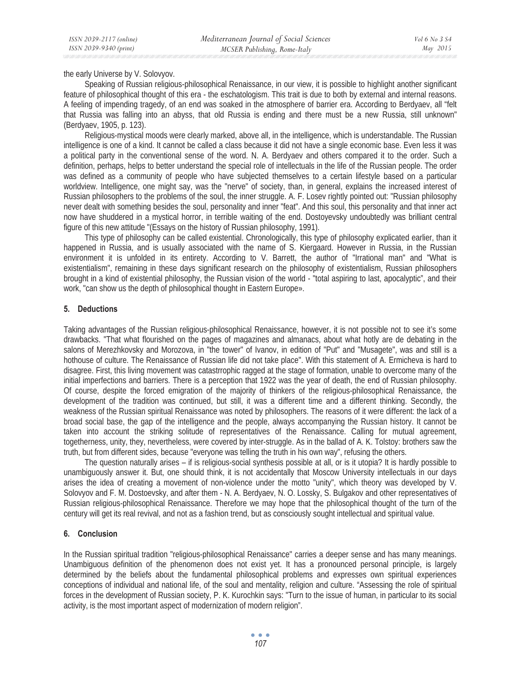the early Universe by V. Solovyov.

Speaking of Russian religious-philosophical Renaissance, in our view, it is possible to highlight another significant feature of philosophical thought of this era - the eschatologism. This trait is due to both by external and internal reasons. A feeling of impending tragedy, of an end was soaked in the atmosphere of barrier era. According to Berdyaev, all "felt that Russia was falling into an abyss, that old Russia is ending and there must be a new Russia, still unknown" (Berdyaev, 1905, p. 123).

Religious-mystical moods were clearly marked, above all, in the intelligence, which is understandable. The Russian intelligence is one of a kind. It cannot be called a class because it did not have a single economic base. Even less it was a political party in the conventional sense of the word. N. A. Berdyaev and others compared it to the order. Such a definition, perhaps, helps to better understand the special role of intellectuals in the life of the Russian people. The order was defined as a community of people who have subjected themselves to a certain lifestyle based on a particular worldview. Intelligence, one might say, was the "nerve" of society, than, in general, explains the increased interest of Russian philosophers to the problems of the soul, the inner struggle. A. F. Losev rightly pointed out: "Russian philosophy never dealt with something besides the soul, personality and inner "feat". And this soul, this personality and that inner act now have shuddered in a mystical horror, in terrible waiting of the end. Dostoyevsky undoubtedly was brilliant central figure of this new attitude "(Essays on the history of Russian philosophy, 1991).

This type of philosophy can be called existential. Chronologically, this type of philosophy explicated earlier, than it happened in Russia, and is usually associated with the name of S. Kiergaard. However in Russia, in the Russian environment it is unfolded in its entirety. According to V. Barrett, the author of "Irrational man" and "What is existentialism", remaining in these days significant research on the philosophy of existentialism, Russian philosophers brought in a kind of existential philosophy, the Russian vision of the world - "total aspiring to last, apocalyptic", and their work, "can show us the depth of philosophical thought in Eastern Europe».

### **5. Deductions**

Taking advantages of the Russian religious-philosophical Renaissance, however, it is not possible not to see it's some drawbacks. "That what flourished on the pages of magazines and almanacs, about what hotly are de debating in the salons of Merezhkovsky and Morozova, in "the tower" of Ivanov, in edition of "Put" and "Musagete", was and still is a hothouse of culture. The Renaissance of Russian life did not take place". With this statement of A. Ermicheva is hard to disagree. First, this living movement was catastrrophic ragged at the stage of formation, unable to overcome many of the initial imperfections and barriers. There is a perception that 1922 was the year of death, the end of Russian philosophy. Of course, despite the forced emigration of the majority of thinkers of the religious-philosophical Renaissance, the development of the tradition was continued, but still, it was a different time and a different thinking. Secondly, the weakness of the Russian spiritual Renaissance was noted by philosophers. The reasons of it were different: the lack of a broad social base, the gap of the intelligence and the people, always accompanying the Russian history. It cannot be taken into account the striking solitude of representatives of the Renaissance. Calling for mutual agreement, togetherness, unity, they, nevertheless, were covered by inter-struggle. As in the ballad of A. K. Tolstoy: brothers saw the truth, but from different sides, because "everyone was telling the truth in his own way", refusing the others.

The question naturally arises – if is religious-social synthesis possible at all, or is it utopia? It is hardly possible to unambiguously answer it. But, one should think, it is not accidentally that Moscow University intellectuals in our days arises the idea of creating a movement of non-violence under the motto "unity", which theory was developed by V. Solovyov and F. M. Dostoevsky, and after them - N. A. Berdyaev, N. O. Lossky, S. Bulgakov and other representatives of Russian religious-philosophical Renaissance. Therefore we may hope that the philosophical thought of the turn of the century will get its real revival, and not as a fashion trend, but as consciously sought intellectual and spiritual value.

### **6. Conclusion**

In the Russian spiritual tradition "religious-philosophical Renaissance" carries a deeper sense and has many meanings. Unambiguous definition of the phenomenon does not exist yet. It has a pronounced personal principle, is largely determined by the beliefs about the fundamental philosophical problems and expresses own spiritual experiences conceptions of individual and national life, of the soul and mentality, religion and culture. "Assessing the role of spiritual forces in the development of Russian society, P. K. Kurochkin says: "Turn to the issue of human, in particular to its social activity, is the most important aspect of modernization of modern religion".